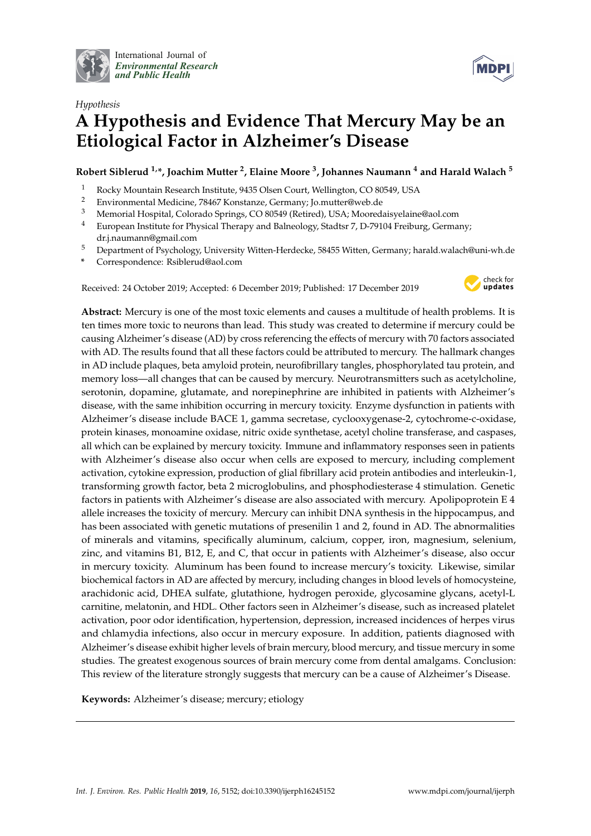

International Journal of *[Environmental Research](http://www.mdpi.com/journal/ijerph) and Public Health*



# *Hypothesis* **A Hypothesis and Evidence That Mercury May be an Etiological Factor in Alzheimer's Disease**

**Robert Siblerud 1,\*, Joachim Mutter <sup>2</sup> , Elaine Moore <sup>3</sup> , Johannes Naumann <sup>4</sup> and Harald Walach <sup>5</sup>**

- 1 Rocky Mountain Research Institute, 9435 Olsen Court, Wellington, CO 80549, USA<br>2 Environmental Medicine 78467 Konstanze Germany: Io mutter@web.de
- <sup>2</sup> Environmental Medicine, 78467 Konstanze, Germany; Jo.mutter@web.de<br><sup>3</sup> Memorial Hespital Colorado Sprince, CO.80549 (Betired), USA: Meered
- <sup>3</sup> Memorial Hospital, Colorado Springs, CO 80549 (Retired), USA; Mooredaisyelaine@aol.com
- <sup>4</sup> European Institute for Physical Therapy and Balneology, Stadtsr 7, D-79104 Freiburg, Germany; dr.j.naumann@gmail.com
- <sup>5</sup> Department of Psychology, University Witten-Herdecke, 58455 Witten, Germany; harald.walach@uni-wh.de
- **\*** Correspondence: Rsiblerud@aol.com

Received: 24 October 2019; Accepted: 6 December 2019; Published: 17 December 2019



**Abstract:** Mercury is one of the most toxic elements and causes a multitude of health problems. It is ten times more toxic to neurons than lead. This study was created to determine if mercury could be causing Alzheimer's disease (AD) by cross referencing the effects of mercury with 70 factors associated with AD. The results found that all these factors could be attributed to mercury. The hallmark changes in AD include plaques, beta amyloid protein, neurofibrillary tangles, phosphorylated tau protein, and memory loss—all changes that can be caused by mercury. Neurotransmitters such as acetylcholine, serotonin, dopamine, glutamate, and norepinephrine are inhibited in patients with Alzheimer's disease, with the same inhibition occurring in mercury toxicity. Enzyme dysfunction in patients with Alzheimer's disease include BACE 1, gamma secretase, cyclooxygenase-2, cytochrome-c-oxidase, protein kinases, monoamine oxidase, nitric oxide synthetase, acetyl choline transferase, and caspases, all which can be explained by mercury toxicity. Immune and inflammatory responses seen in patients with Alzheimer's disease also occur when cells are exposed to mercury, including complement activation, cytokine expression, production of glial fibrillary acid protein antibodies and interleukin-1, transforming growth factor, beta 2 microglobulins, and phosphodiesterase 4 stimulation. Genetic factors in patients with Alzheimer's disease are also associated with mercury. Apolipoprotein E 4 allele increases the toxicity of mercury. Mercury can inhibit DNA synthesis in the hippocampus, and has been associated with genetic mutations of presenilin 1 and 2, found in AD. The abnormalities of minerals and vitamins, specifically aluminum, calcium, copper, iron, magnesium, selenium, zinc, and vitamins B1, B12, E, and C, that occur in patients with Alzheimer's disease, also occur in mercury toxicity. Aluminum has been found to increase mercury's toxicity. Likewise, similar biochemical factors in AD are affected by mercury, including changes in blood levels of homocysteine, arachidonic acid, DHEA sulfate, glutathione, hydrogen peroxide, glycosamine glycans, acetyl-L carnitine, melatonin, and HDL. Other factors seen in Alzheimer's disease, such as increased platelet activation, poor odor identification, hypertension, depression, increased incidences of herpes virus and chlamydia infections, also occur in mercury exposure. In addition, patients diagnosed with Alzheimer's disease exhibit higher levels of brain mercury, blood mercury, and tissue mercury in some studies. The greatest exogenous sources of brain mercury come from dental amalgams. Conclusion: This review of the literature strongly suggests that mercury can be a cause of Alzheimer's Disease.

**Keywords:** Alzheimer's disease; mercury; etiology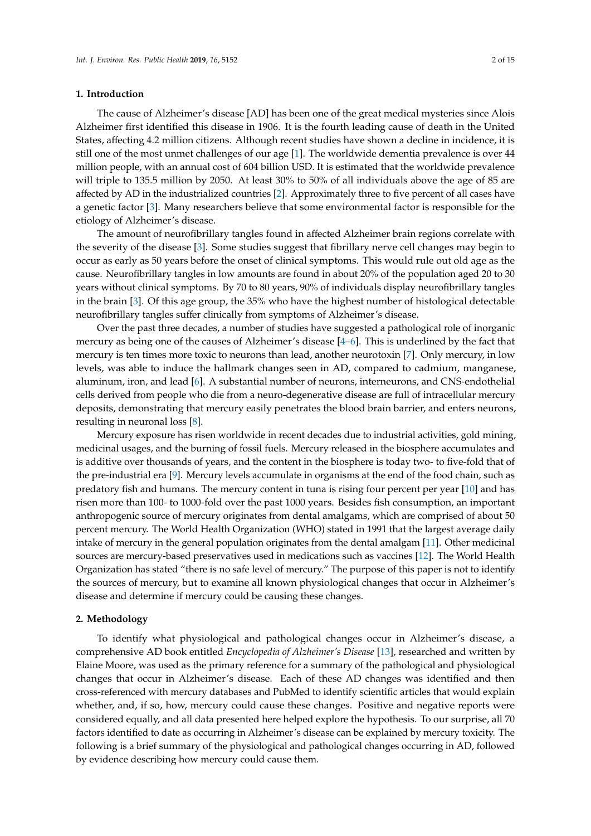#### **1. Introduction**

The cause of Alzheimer's disease [AD] has been one of the great medical mysteries since Alois Alzheimer first identified this disease in 1906. It is the fourth leading cause of death in the United States, affecting 4.2 million citizens. Although recent studies have shown a decline in incidence, it is still one of the most unmet challenges of our age [\[1\]](#page-10-0). The worldwide dementia prevalence is over 44 million people, with an annual cost of 604 billion USD. It is estimated that the worldwide prevalence will triple to 135.5 million by 2050. At least 30% to 50% of all individuals above the age of 85 are affected by AD in the industrialized countries [\[2\]](#page-10-1). Approximately three to five percent of all cases have a genetic factor [\[3\]](#page-10-2). Many researchers believe that some environmental factor is responsible for the etiology of Alzheimer's disease.

The amount of neurofibrillary tangles found in affected Alzheimer brain regions correlate with the severity of the disease [\[3\]](#page-10-2). Some studies suggest that fibrillary nerve cell changes may begin to occur as early as 50 years before the onset of clinical symptoms. This would rule out old age as the cause. Neurofibrillary tangles in low amounts are found in about 20% of the population aged 20 to 30 years without clinical symptoms. By 70 to 80 years, 90% of individuals display neurofibrillary tangles in the brain [\[3\]](#page-10-2). Of this age group, the 35% who have the highest number of histological detectable neurofibrillary tangles suffer clinically from symptoms of Alzheimer's disease.

Over the past three decades, a number of studies have suggested a pathological role of inorganic mercury as being one of the causes of Alzheimer's disease [\[4](#page-10-3)[–6\]](#page-10-4). This is underlined by the fact that mercury is ten times more toxic to neurons than lead, another neurotoxin [\[7\]](#page-10-5). Only mercury, in low levels, was able to induce the hallmark changes seen in AD, compared to cadmium, manganese, aluminum, iron, and lead [\[6\]](#page-10-4). A substantial number of neurons, interneurons, and CNS-endothelial cells derived from people who die from a neuro-degenerative disease are full of intracellular mercury deposits, demonstrating that mercury easily penetrates the blood brain barrier, and enters neurons, resulting in neuronal loss [\[8\]](#page-10-6).

Mercury exposure has risen worldwide in recent decades due to industrial activities, gold mining, medicinal usages, and the burning of fossil fuels. Mercury released in the biosphere accumulates and is additive over thousands of years, and the content in the biosphere is today two- to five-fold that of the pre-industrial era [\[9\]](#page-10-7). Mercury levels accumulate in organisms at the end of the food chain, such as predatory fish and humans. The mercury content in tuna is rising four percent per year [\[10\]](#page-10-8) and has risen more than 100- to 1000-fold over the past 1000 years. Besides fish consumption, an important anthropogenic source of mercury originates from dental amalgams, which are comprised of about 50 percent mercury. The World Health Organization (WHO) stated in 1991 that the largest average daily intake of mercury in the general population originates from the dental amalgam [\[11\]](#page-10-9). Other medicinal sources are mercury-based preservatives used in medications such as vaccines [\[12\]](#page-10-10). The World Health Organization has stated "there is no safe level of mercury." The purpose of this paper is not to identify the sources of mercury, but to examine all known physiological changes that occur in Alzheimer's disease and determine if mercury could be causing these changes.

#### **2. Methodology**

To identify what physiological and pathological changes occur in Alzheimer's disease, a comprehensive AD book entitled *Encyclopedia of Alzheimer's Disease* [\[13\]](#page-10-11), researched and written by Elaine Moore, was used as the primary reference for a summary of the pathological and physiological changes that occur in Alzheimer's disease. Each of these AD changes was identified and then cross-referenced with mercury databases and PubMed to identify scientific articles that would explain whether, and, if so, how, mercury could cause these changes. Positive and negative reports were considered equally, and all data presented here helped explore the hypothesis. To our surprise, all 70 factors identified to date as occurring in Alzheimer's disease can be explained by mercury toxicity. The following is a brief summary of the physiological and pathological changes occurring in AD, followed by evidence describing how mercury could cause them.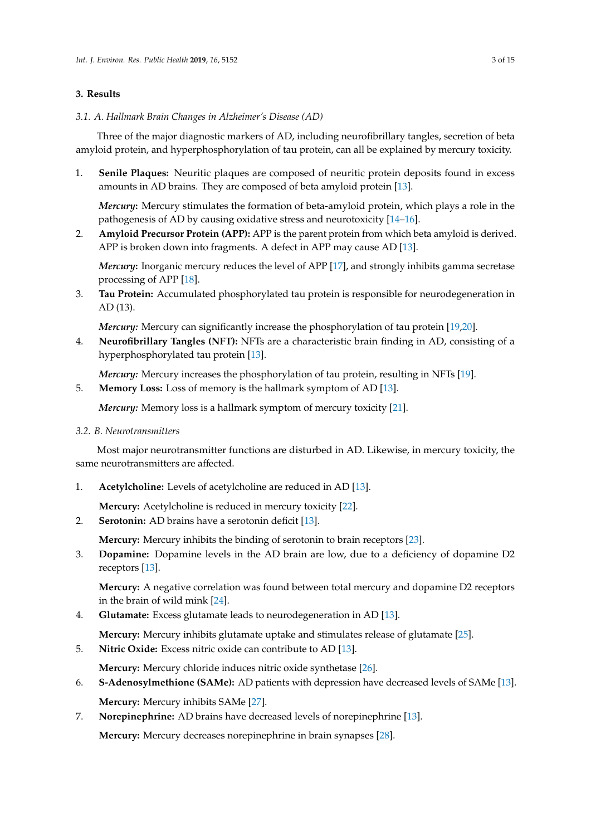# **3. Results**

*3.1. A. Hallmark Brain Changes in Alzheimer's Disease (AD)*

Three of the major diagnostic markers of AD, including neurofibrillary tangles, secretion of beta amyloid protein, and hyperphosphorylation of tau protein, can all be explained by mercury toxicity.

1. **Senile Plaques:** Neuritic plaques are composed of neuritic protein deposits found in excess amounts in AD brains. They are composed of beta amyloid protein [\[13\]](#page-10-11).

*Mercury***:** Mercury stimulates the formation of beta-amyloid protein, which plays a role in the pathogenesis of AD by causing oxidative stress and neurotoxicity [\[14–](#page-10-12)[16\]](#page-11-0).

2. **Amyloid Precursor Protein (APP):** APP is the parent protein from which beta amyloid is derived. APP is broken down into fragments. A defect in APP may cause AD [\[13\]](#page-10-11).

*Mercury***:** Inorganic mercury reduces the level of APP [\[17\]](#page-11-1), and strongly inhibits gamma secretase processing of APP [\[18\]](#page-11-2).

3. **Tau Protein:** Accumulated phosphorylated tau protein is responsible for neurodegeneration in AD (13).

*Mercury:* Mercury can significantly increase the phosphorylation of tau protein [\[19](#page-11-3)[,20\]](#page-11-4).

4. **Neurofibrillary Tangles (NFT):** NFTs are a characteristic brain finding in AD, consisting of a hyperphosphorylated tau protein [\[13\]](#page-10-11).

*Mercury:* Mercury increases the phosphorylation of tau protein, resulting in NFTs [\[19\]](#page-11-3).

5. **Memory Loss:** Loss of memory is the hallmark symptom of AD [\[13\]](#page-10-11).

*Mercury:* Memory loss is a hallmark symptom of mercury toxicity [\[21\]](#page-11-5).

*3.2. B. Neurotransmitters*

Most major neurotransmitter functions are disturbed in AD. Likewise, in mercury toxicity, the same neurotransmitters are affected.

1. **Acetylcholine:** Levels of acetylcholine are reduced in AD [\[13\]](#page-10-11).

**Mercury:** Acetylcholine is reduced in mercury toxicity [\[22\]](#page-11-6).

2. **Serotonin:** AD brains have a serotonin deficit [\[13\]](#page-10-11).

**Mercury:** Mercury inhibits the binding of serotonin to brain receptors [\[23\]](#page-11-7).

3. **Dopamine:** Dopamine levels in the AD brain are low, due to a deficiency of dopamine D2 receptors [\[13\]](#page-10-11).

**Mercury:** A negative correlation was found between total mercury and dopamine D2 receptors in the brain of wild mink [\[24\]](#page-11-8).

4. **Glutamate:** Excess glutamate leads to neurodegeneration in AD [\[13\]](#page-10-11).

**Mercury:** Mercury inhibits glutamate uptake and stimulates release of glutamate [\[25\]](#page-11-9).

5. **Nitric Oxide:** Excess nitric oxide can contribute to AD [\[13\]](#page-10-11).

**Mercury:** Mercury chloride induces nitric oxide synthetase [\[26\]](#page-11-10).

- 6. **S-Adenosylmethione (SAMe):** AD patients with depression have decreased levels of SAMe [\[13\]](#page-10-11). **Mercury:** Mercury inhibits SAMe [\[27\]](#page-11-11).
- 7. **Norepinephrine:** AD brains have decreased levels of norepinephrine [\[13\]](#page-10-11).

**Mercury:** Mercury decreases norepinephrine in brain synapses [\[28\]](#page-11-12).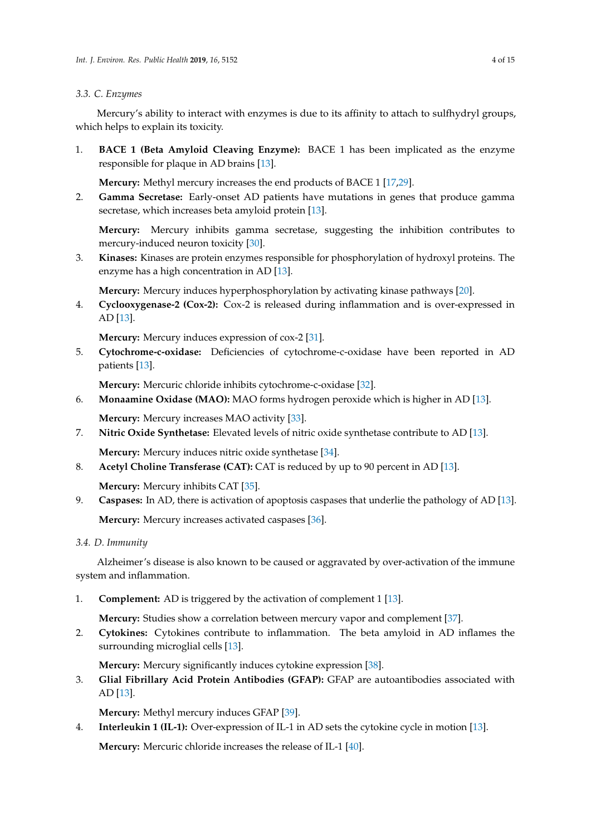## *3.3. C. Enzymes*

Mercury's ability to interact with enzymes is due to its affinity to attach to sulfhydryl groups, which helps to explain its toxicity.

1. **BACE 1 (Beta Amyloid Cleaving Enzyme):** BACE 1 has been implicated as the enzyme responsible for plaque in AD brains [\[13\]](#page-10-11).

**Mercury:** Methyl mercury increases the end products of BACE 1 [\[17,](#page-11-1)[29\]](#page-11-13).

2. **Gamma Secretase:** Early-onset AD patients have mutations in genes that produce gamma secretase, which increases beta amyloid protein [\[13\]](#page-10-11).

**Mercury:** Mercury inhibits gamma secretase, suggesting the inhibition contributes to mercury-induced neuron toxicity [\[30\]](#page-11-14).

3. **Kinases:** Kinases are protein enzymes responsible for phosphorylation of hydroxyl proteins. The enzyme has a high concentration in AD [\[13\]](#page-10-11).

**Mercury:** Mercury induces hyperphosphorylation by activating kinase pathways [\[20\]](#page-11-4).

4. **Cyclooxygenase-2 (Cox-2):** Cox-2 is released during inflammation and is over-expressed in AD [\[13\]](#page-10-11).

**Mercury:** Mercury induces expression of cox-2 [\[31\]](#page-11-15).

5. **Cytochrome-c-oxidase:** Deficiencies of cytochrome-c-oxidase have been reported in AD patients [\[13\]](#page-10-11).

**Mercury:** Mercuric chloride inhibits cytochrome-c-oxidase [\[32\]](#page-11-16).

6. **Monaamine Oxidase (MAO):** MAO forms hydrogen peroxide which is higher in AD [\[13\]](#page-10-11).

**Mercury:** Mercury increases MAO activity [\[33\]](#page-11-17).

7. **Nitric Oxide Synthetase:** Elevated levels of nitric oxide synthetase contribute to AD [\[13\]](#page-10-11).

**Mercury:** Mercury induces nitric oxide synthetase [\[34\]](#page-11-18).

8. **Acetyl Choline Transferase (CAT):** CAT is reduced by up to 90 percent in AD [\[13\]](#page-10-11).

**Mercury:** Mercury inhibits CAT [\[35\]](#page-11-19).

9. **Caspases:** In AD, there is activation of apoptosis caspases that underlie the pathology of AD [\[13\]](#page-10-11). **Mercury:** Mercury increases activated caspases [\[36\]](#page-11-20).

*3.4. D. Immunity*

Alzheimer's disease is also known to be caused or aggravated by over-activation of the immune system and inflammation.

1. **Complement:** AD is triggered by the activation of complement 1 [\[13\]](#page-10-11).

**Mercury:** Studies show a correlation between mercury vapor and complement [\[37\]](#page-12-0).

2. **Cytokines:** Cytokines contribute to inflammation. The beta amyloid in AD inflames the surrounding microglial cells [\[13\]](#page-10-11).

**Mercury:** Mercury significantly induces cytokine expression [\[38\]](#page-12-1).

3. **Glial Fibrillary Acid Protein Antibodies (GFAP):** GFAP are autoantibodies associated with AD [\[13\]](#page-10-11).

**Mercury:** Methyl mercury induces GFAP [\[39\]](#page-12-2).

4. **Interleukin 1 (IL-1):** Over-expression of IL-1 in AD sets the cytokine cycle in motion [\[13\]](#page-10-11).

**Mercury:** Mercuric chloride increases the release of IL-1 [\[40\]](#page-12-3).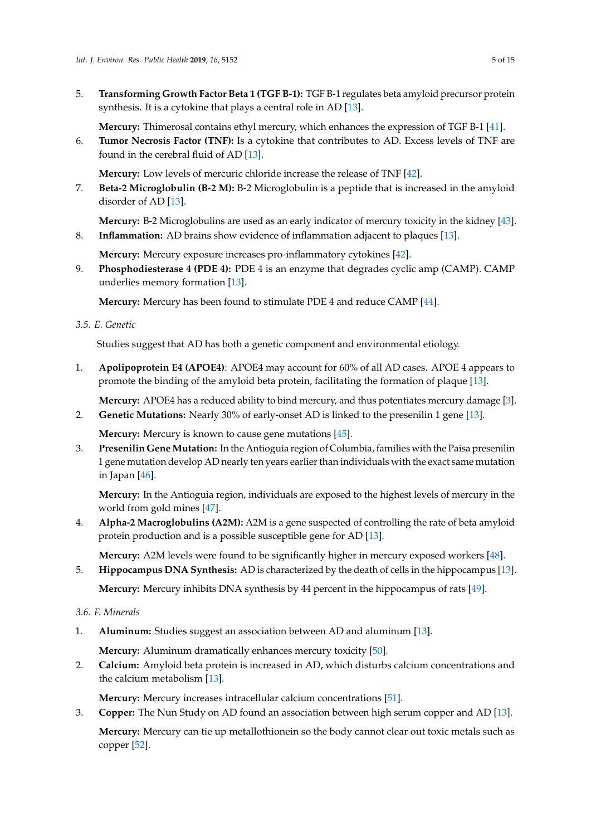5. **Transforming Growth Factor Beta 1 (TGF B-1):** TGF B-1 regulates beta amyloid precursor protein synthesis. It is a cytokine that plays a central role in AD [\[13\]](#page-10-11).

**Mercury:** Thimerosal contains ethyl mercury, which enhances the expression of TGF B-1 [\[41\]](#page-12-4).

6. **Tumor Necrosis Factor (TNF):** Is a cytokine that contributes to AD. Excess levels of TNF are found in the cerebral fluid of AD [\[13\]](#page-10-11).

**Mercury:** Low levels of mercuric chloride increase the release of TNF [\[42\]](#page-12-5).

7. **Beta-2 Microglobulin (B-2 M):** B-2 Microglobulin is a peptide that is increased in the amyloid disorder of AD [\[13\]](#page-10-11).

**Mercury:** B-2 Microglobulins are used as an early indicator of mercury toxicity in the kidney [\[43\]](#page-12-6).

8. **Inflammation:** AD brains show evidence of inflammation adjacent to plaques [\[13\]](#page-10-11).

**Mercury:** Mercury exposure increases pro-inflammatory cytokines [\[42\]](#page-12-5).

9. **Phosphodiesterase 4 (PDE 4):** PDE 4 is an enzyme that degrades cyclic amp (CAMP). CAMP underlies memory formation [\[13\]](#page-10-11).

**Mercury:** Mercury has been found to stimulate PDE 4 and reduce CAMP [\[44\]](#page-12-7).

*3.5. E. Genetic*

Studies suggest that AD has both a genetic component and environmental etiology.

1. **Apolipoprotein E4 (APOE4)**: APOE4 may account for 60% of all AD cases. APOE 4 appears to promote the binding of the amyloid beta protein, facilitating the formation of plaque [\[13\]](#page-10-11).

**Mercury:** APOE4 has a reduced ability to bind mercury, and thus potentiates mercury damage [\[3\]](#page-10-2).

2. **Genetic Mutations:** Nearly 30% of early-onset AD is linked to the presenilin 1 gene [\[13\]](#page-10-11).

**Mercury:** Mercury is known to cause gene mutations [\[45\]](#page-12-8).

3. **Presenilin GeneMutation:** In the Antioguia region of Columbia, families with the Paisa presenilin 1 gene mutation develop AD nearly ten years earlier than individuals with the exact same mutation in Japan [\[46\]](#page-12-9).

**Mercury:** In the Antioguia region, individuals are exposed to the highest levels of mercury in the world from gold mines [\[47\]](#page-12-10).

4. **Alpha-2 Macroglobulins (A2M):** A2M is a gene suspected of controlling the rate of beta amyloid protein production and is a possible susceptible gene for AD [\[13\]](#page-10-11).

**Mercury:** A2M levels were found to be significantly higher in mercury exposed workers [\[48\]](#page-12-11).

5. **Hippocampus DNA Synthesis:** AD is characterized by the death of cells in the hippocampus [\[13\]](#page-10-11).

**Mercury:** Mercury inhibits DNA synthesis by 44 percent in the hippocampus of rats [\[49\]](#page-12-12).

# *3.6. F. Minerals*

1. **Aluminum:** Studies suggest an association between AD and aluminum [\[13\]](#page-10-11).

**Mercury:** Aluminum dramatically enhances mercury toxicity [\[50\]](#page-12-13).

2. **Calcium:** Amyloid beta protein is increased in AD, which disturbs calcium concentrations and the calcium metabolism [\[13\]](#page-10-11).

**Mercury:** Mercury increases intracellular calcium concentrations [\[51\]](#page-12-14).

3. **Copper:** The Nun Study on AD found an association between high serum copper and AD [\[13\]](#page-10-11).

**Mercury:** Mercury can tie up metallothionein so the body cannot clear out toxic metals such as copper [\[52\]](#page-12-15).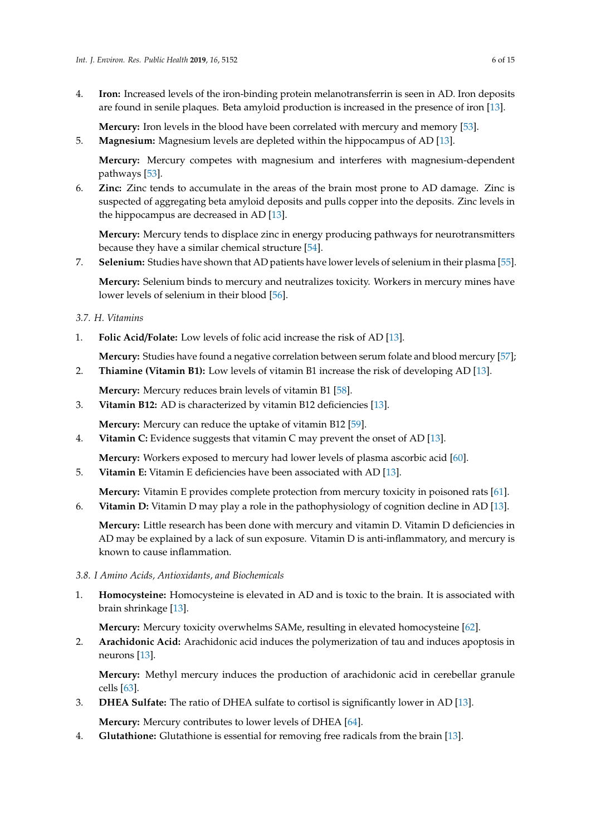4. **Iron:** Increased levels of the iron-binding protein melanotransferrin is seen in AD. Iron deposits are found in senile plaques. Beta amyloid production is increased in the presence of iron [\[13\]](#page-10-11).

**Mercury:** Iron levels in the blood have been correlated with mercury and memory [\[53\]](#page-12-16).

5. **Magnesium:** Magnesium levels are depleted within the hippocampus of AD [\[13\]](#page-10-11).

**Mercury:** Mercury competes with magnesium and interferes with magnesium-dependent pathways [\[53\]](#page-12-16).

6. **Zinc:** Zinc tends to accumulate in the areas of the brain most prone to AD damage. Zinc is suspected of aggregating beta amyloid deposits and pulls copper into the deposits. Zinc levels in the hippocampus are decreased in AD [\[13\]](#page-10-11).

**Mercury:** Mercury tends to displace zinc in energy producing pathways for neurotransmitters because they have a similar chemical structure [\[54\]](#page-12-17).

7. **Selenium:** Studies have shown that AD patients have lower levels of selenium in their plasma [\[55\]](#page-12-18).

**Mercury:** Selenium binds to mercury and neutralizes toxicity. Workers in mercury mines have lower levels of selenium in their blood [\[56\]](#page-12-19).

# *3.7. H. Vitamins*

1. **Folic Acid**/**Folate:** Low levels of folic acid increase the risk of AD [\[13\]](#page-10-11).

**Mercury:** Studies have found a negative correlation between serum folate and blood mercury [\[57\]](#page-12-20);

2. **Thiamine (Vitamin B1):** Low levels of vitamin B1 increase the risk of developing AD [\[13\]](#page-10-11).

**Mercury:** Mercury reduces brain levels of vitamin B1 [\[58\]](#page-12-21).

3. **Vitamin B12:** AD is characterized by vitamin B12 deficiencies [\[13\]](#page-10-11).

**Mercury:** Mercury can reduce the uptake of vitamin B12 [\[59\]](#page-13-0).

4. **Vitamin C:** Evidence suggests that vitamin C may prevent the onset of AD [\[13\]](#page-10-11).

**Mercury:** Workers exposed to mercury had lower levels of plasma ascorbic acid [\[60\]](#page-13-1).

5. **Vitamin E:** Vitamin E deficiencies have been associated with AD [\[13\]](#page-10-11).

**Mercury:** Vitamin E provides complete protection from mercury toxicity in poisoned rats [\[61\]](#page-13-2).

6. **Vitamin D:** Vitamin D may play a role in the pathophysiology of cognition decline in AD [\[13\]](#page-10-11).

**Mercury:** Little research has been done with mercury and vitamin D. Vitamin D deficiencies in AD may be explained by a lack of sun exposure. Vitamin D is anti-inflammatory, and mercury is known to cause inflammation.

- *3.8. I Amino Acids, Antioxidants, and Biochemicals*
- 1. **Homocysteine:** Homocysteine is elevated in AD and is toxic to the brain. It is associated with brain shrinkage [\[13\]](#page-10-11).

**Mercury:** Mercury toxicity overwhelms SAMe, resulting in elevated homocysteine [\[62\]](#page-13-3).

2. **Arachidonic Acid:** Arachidonic acid induces the polymerization of tau and induces apoptosis in neurons [\[13\]](#page-10-11).

**Mercury:** Methyl mercury induces the production of arachidonic acid in cerebellar granule cells [\[63\]](#page-13-4).

3. **DHEA Sulfate:** The ratio of DHEA sulfate to cortisol is significantly lower in AD [\[13\]](#page-10-11).

**Mercury:** Mercury contributes to lower levels of DHEA [\[64\]](#page-13-5).

4. **Glutathione:** Glutathione is essential for removing free radicals from the brain [\[13\]](#page-10-11).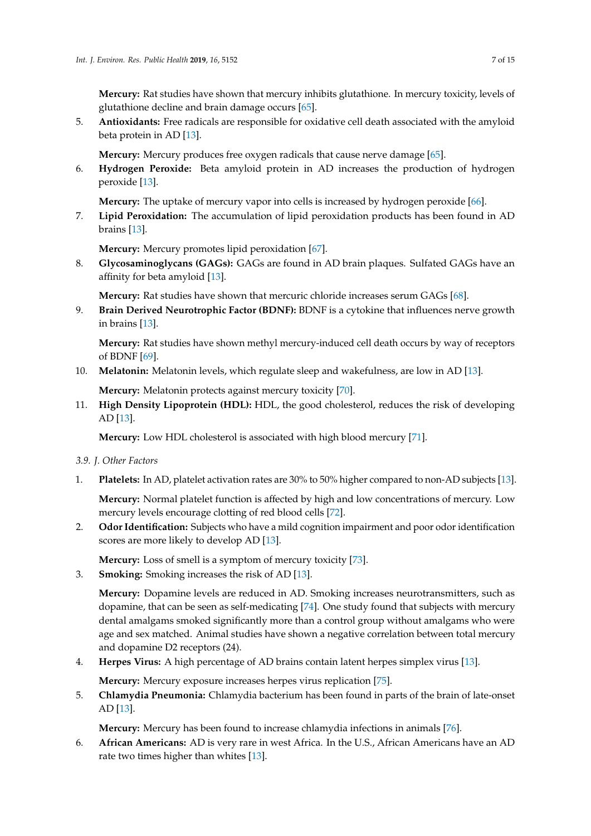**Mercury:** Rat studies have shown that mercury inhibits glutathione. In mercury toxicity, levels of glutathione decline and brain damage occurs [\[65\]](#page-13-6).

5. **Antioxidants:** Free radicals are responsible for oxidative cell death associated with the amyloid beta protein in AD [\[13\]](#page-10-11).

**Mercury:** Mercury produces free oxygen radicals that cause nerve damage [\[65\]](#page-13-6).

6. **Hydrogen Peroxide:** Beta amyloid protein in AD increases the production of hydrogen peroxide [\[13\]](#page-10-11).

**Mercury:** The uptake of mercury vapor into cells is increased by hydrogen peroxide [\[66\]](#page-13-7).

7. **Lipid Peroxidation:** The accumulation of lipid peroxidation products has been found in AD brains [\[13\]](#page-10-11).

**Mercury:** Mercury promotes lipid peroxidation [\[67\]](#page-13-8).

8. **Glycosaminoglycans (GAGs):** GAGs are found in AD brain plaques. Sulfated GAGs have an affinity for beta amyloid [\[13\]](#page-10-11).

**Mercury:** Rat studies have shown that mercuric chloride increases serum GAGs [\[68\]](#page-13-9).

9. **Brain Derived Neurotrophic Factor (BDNF):** BDNF is a cytokine that influences nerve growth in brains [\[13\]](#page-10-11).

**Mercury:** Rat studies have shown methyl mercury-induced cell death occurs by way of receptors of BDNF [\[69\]](#page-13-10).

10. **Melatonin:** Melatonin levels, which regulate sleep and wakefulness, are low in AD [\[13\]](#page-10-11).

**Mercury:** Melatonin protects against mercury toxicity [\[70\]](#page-13-11).

11. **High Density Lipoprotein (HDL):** HDL, the good cholesterol, reduces the risk of developing AD [\[13\]](#page-10-11).

**Mercury:** Low HDL cholesterol is associated with high blood mercury [\[71\]](#page-13-12).

- *3.9. J. Other Factors*
- 1. **Platelets:** In AD, platelet activation rates are 30% to 50% higher compared to non-AD subjects [\[13\]](#page-10-11).

**Mercury:** Normal platelet function is affected by high and low concentrations of mercury. Low mercury levels encourage clotting of red blood cells [\[72\]](#page-13-13).

2. **Odor Identification:** Subjects who have a mild cognition impairment and poor odor identification scores are more likely to develop AD [\[13\]](#page-10-11).

**Mercury:** Loss of smell is a symptom of mercury toxicity [\[73\]](#page-13-14).

3. **Smoking:** Smoking increases the risk of AD [\[13\]](#page-10-11).

**Mercury:** Dopamine levels are reduced in AD. Smoking increases neurotransmitters, such as dopamine, that can be seen as self-medicating [\[74\]](#page-13-15). One study found that subjects with mercury dental amalgams smoked significantly more than a control group without amalgams who were age and sex matched. Animal studies have shown a negative correlation between total mercury and dopamine D2 receptors (24).

4. **Herpes Virus:** A high percentage of AD brains contain latent herpes simplex virus [\[13\]](#page-10-11).

**Mercury:** Mercury exposure increases herpes virus replication [\[75\]](#page-13-16).

5. **Chlamydia Pneumonia:** Chlamydia bacterium has been found in parts of the brain of late-onset AD [\[13\]](#page-10-11).

**Mercury:** Mercury has been found to increase chlamydia infections in animals [\[76\]](#page-13-17).

6. **African Americans:** AD is very rare in west Africa. In the U.S., African Americans have an AD rate two times higher than whites [\[13\]](#page-10-11).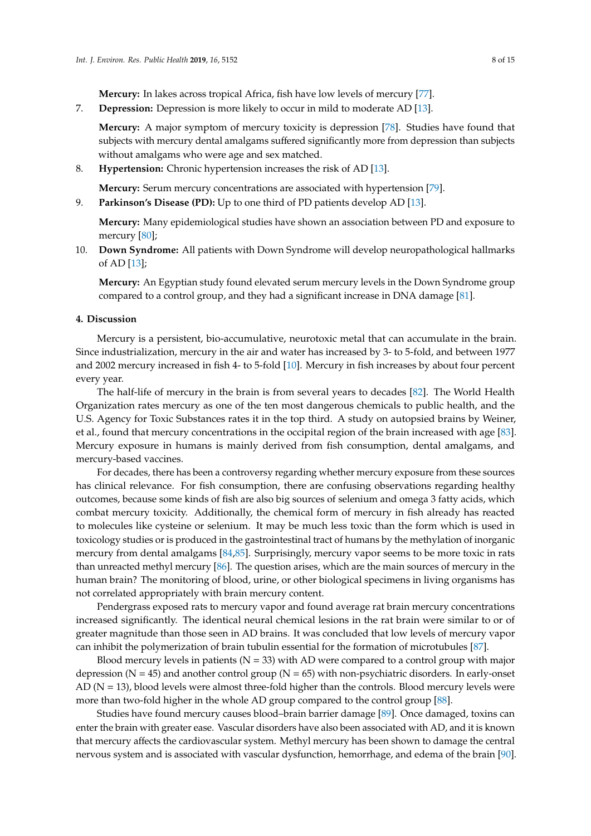**Mercury:** In lakes across tropical Africa, fish have low levels of mercury [\[77\]](#page-13-18).

7. **Depression:** Depression is more likely to occur in mild to moderate AD [\[13\]](#page-10-11).

**Mercury:** A major symptom of mercury toxicity is depression [\[78\]](#page-13-19). Studies have found that subjects with mercury dental amalgams suffered significantly more from depression than subjects without amalgams who were age and sex matched.

8. **Hypertension:** Chronic hypertension increases the risk of AD [\[13\]](#page-10-11).

**Mercury:** Serum mercury concentrations are associated with hypertension [\[79\]](#page-13-20).

9. **Parkinson's Disease (PD):** Up to one third of PD patients develop AD [\[13\]](#page-10-11).

**Mercury:** Many epidemiological studies have shown an association between PD and exposure to mercury [\[80\]](#page-13-21);

10. **Down Syndrome:** All patients with Down Syndrome will develop neuropathological hallmarks of AD [\[13\]](#page-10-11);

**Mercury:** An Egyptian study found elevated serum mercury levels in the Down Syndrome group compared to a control group, and they had a significant increase in DNA damage [\[81\]](#page-13-22).

#### **4. Discussion**

Mercury is a persistent, bio-accumulative, neurotoxic metal that can accumulate in the brain. Since industrialization, mercury in the air and water has increased by 3- to 5-fold, and between 1977 and 2002 mercury increased in fish 4- to 5-fold [\[10\]](#page-10-8). Mercury in fish increases by about four percent every year.

The half-life of mercury in the brain is from several years to decades [\[82\]](#page-14-0). The World Health Organization rates mercury as one of the ten most dangerous chemicals to public health, and the U.S. Agency for Toxic Substances rates it in the top third. A study on autopsied brains by Weiner, et al., found that mercury concentrations in the occipital region of the brain increased with age [\[83\]](#page-14-1). Mercury exposure in humans is mainly derived from fish consumption, dental amalgams, and mercury-based vaccines.

For decades, there has been a controversy regarding whether mercury exposure from these sources has clinical relevance. For fish consumption, there are confusing observations regarding healthy outcomes, because some kinds of fish are also big sources of selenium and omega 3 fatty acids, which combat mercury toxicity. Additionally, the chemical form of mercury in fish already has reacted to molecules like cysteine or selenium. It may be much less toxic than the form which is used in toxicology studies or is produced in the gastrointestinal tract of humans by the methylation of inorganic mercury from dental amalgams [\[84](#page-14-2)[,85\]](#page-14-3). Surprisingly, mercury vapor seems to be more toxic in rats than unreacted methyl mercury [\[86\]](#page-14-4). The question arises, which are the main sources of mercury in the human brain? The monitoring of blood, urine, or other biological specimens in living organisms has not correlated appropriately with brain mercury content.

Pendergrass exposed rats to mercury vapor and found average rat brain mercury concentrations increased significantly. The identical neural chemical lesions in the rat brain were similar to or of greater magnitude than those seen in AD brains. It was concluded that low levels of mercury vapor can inhibit the polymerization of brain tubulin essential for the formation of microtubules [\[87\]](#page-14-5).

Blood mercury levels in patients ( $N = 33$ ) with AD were compared to a control group with major depression ( $N = 45$ ) and another control group ( $N = 65$ ) with non-psychiatric disorders. In early-onset  $AD (N = 13)$ , blood levels were almost three-fold higher than the controls. Blood mercury levels were more than two-fold higher in the whole AD group compared to the control group [\[88\]](#page-14-6).

Studies have found mercury causes blood–brain barrier damage [\[89\]](#page-14-7). Once damaged, toxins can enter the brain with greater ease. Vascular disorders have also been associated with AD, and it is known that mercury affects the cardiovascular system. Methyl mercury has been shown to damage the central nervous system and is associated with vascular dysfunction, hemorrhage, and edema of the brain [\[90\]](#page-14-8).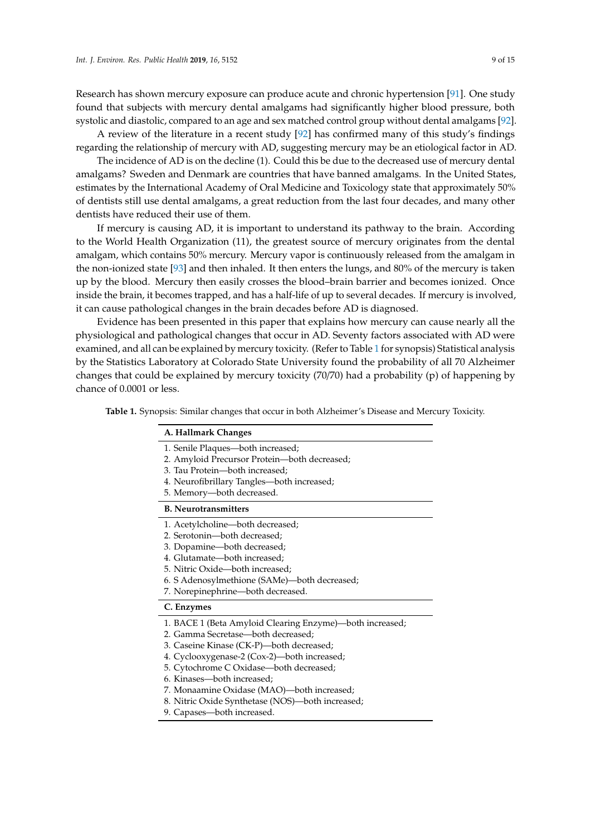Research has shown mercury exposure can produce acute and chronic hypertension [\[91\]](#page-14-9). One study found that subjects with mercury dental amalgams had significantly higher blood pressure, both systolic and diastolic, compared to an age and sex matched control group without dental amalgams [\[92\]](#page-14-10).

A review of the literature in a recent study [\[92\]](#page-14-10) has confirmed many of this study's findings regarding the relationship of mercury with AD, suggesting mercury may be an etiological factor in AD.

The incidence of AD is on the decline (1). Could this be due to the decreased use of mercury dental amalgams? Sweden and Denmark are countries that have banned amalgams. In the United States, estimates by the International Academy of Oral Medicine and Toxicology state that approximately 50% of dentists still use dental amalgams, a great reduction from the last four decades, and many other dentists have reduced their use of them.

If mercury is causing AD, it is important to understand its pathway to the brain. According to the World Health Organization (11), the greatest source of mercury originates from the dental amalgam, which contains 50% mercury. Mercury vapor is continuously released from the amalgam in the non-ionized state [\[93\]](#page-14-11) and then inhaled. It then enters the lungs, and 80% of the mercury is taken up by the blood. Mercury then easily crosses the blood–brain barrier and becomes ionized. Once inside the brain, it becomes trapped, and has a half-life of up to several decades. If mercury is involved, it can cause pathological changes in the brain decades before AD is diagnosed.

Evidence has been presented in this paper that explains how mercury can cause nearly all the physiological and pathological changes that occur in AD. Seventy factors associated with AD were examined, and all can be explained by mercury toxicity. (Refer to Table [1](#page-9-0) for synopsis) Statistical analysis by the Statistics Laboratory at Colorado State University found the probability of all 70 Alzheimer changes that could be explained by mercury toxicity (70/70) had a probability (p) of happening by chance of 0.0001 or less.

**Table 1.** Synopsis: Similar changes that occur in both Alzheimer's Disease and Mercury Toxicity.

| A. Hallmark Changes                                      |
|----------------------------------------------------------|
| 1. Senile Plaques—both increased;                        |
| 2. Amyloid Precursor Protein—both decreased;             |
| 3. Tau Protein-both increased;                           |
| 4. Neurofibrillary Tangles-both increased;               |
| 5. Memory-both decreased.                                |
| <b>B.</b> Neurotransmitters                              |
| 1. Acetylcholine-both decreased;                         |
| 2. Serotonin-both decreased:                             |
| 3. Dopamine-both decreased;                              |
| 4. Glutamate-both increased;                             |
| 5. Nitric Oxide-both increased;                          |
| 6. S Adenosylmethione (SAMe)-both decreased;             |
| 7. Norepinephrine-both decreased.                        |
| C. Enzymes                                               |
| 1. BACE 1 (Beta Amyloid Clearing Enzyme)—both increased; |
| 2. Gamma Secretase-both decreased;                       |
| 3. Caseine Kinase (CK-P)—both decreased;                 |
| 4. Cyclooxygenase-2 (Cox-2)-both increased;              |
| 5. Cytochrome C Oxidase-both decreased;                  |
| 6. Kinases-both increased;                               |
| 7. Monaamine Oxidase (MAO)—both increased;               |
| 8. Nitric Oxide Synthetase (NOS)-both increased;         |
| 9. Capases-both increased.                               |
|                                                          |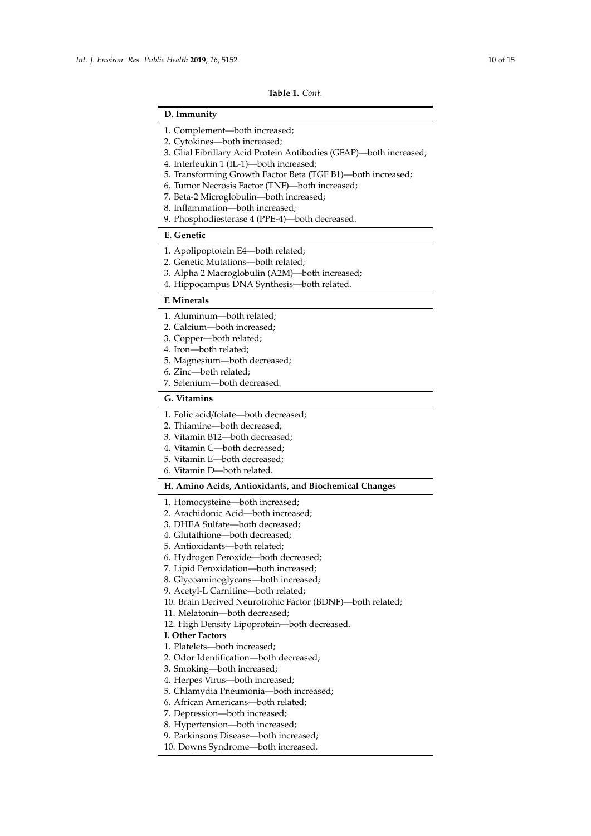#### **Table 1.** *Cont.*

# <span id="page-9-0"></span>**D. Immunity**

- 3. Glial Fibrillary Acid Protein Antibodies (GFAP)—both increased;
- 4. Interleukin 1 (IL-1)—both increased;
- 5. Transforming Growth Factor Beta (TGF B1)—both increased;
- 6. Tumor Necrosis Factor (TNF)—both increased;
- 7. Beta-2 Microglobulin—both increased;
- 8. Inflammation—both increased;
- 9. Phosphodiesterase 4 (PPE-4)—both decreased.

#### **E. Genetic**

- 1. Apolipoptotein E4—both related;
- 2. Genetic Mutations—both related;
- 3. Alpha 2 Macroglobulin (A2M)—both increased;
- 4. Hippocampus DNA Synthesis—both related.

### **F. Minerals**

- 1. Aluminum—both related;
- 2. Calcium—both increased;
- 3. Copper—both related;
- 4. Iron—both related;
- 5. Magnesium—both decreased;
- 6. Zinc—both related;
- 7. Selenium—both decreased.

## **G. Vitamins**

- 1. Folic acid/folate—both decreased;
- 2. Thiamine—both decreased;
- 3. Vitamin B12—both decreased;
- 4. Vitamin C—both decreased;
- 5. Vitamin E—both decreased;
- 6. Vitamin D—both related.

# **H. Amino Acids, Antioxidants, and Biochemical Changes**

1. Homocysteine—both increased;

- 2. Arachidonic Acid—both increased;
- 3. DHEA Sulfate—both decreased;
- 4. Glutathione—both decreased;
- 5. Antioxidants—both related;
- 6. Hydrogen Peroxide—both decreased;
- 7. Lipid Peroxidation—both increased;
- 8. Glycoaminoglycans—both increased;
- 9. Acetyl-L Carnitine—both related;
- 10. Brain Derived Neurotrohic Factor (BDNF)—both related;
- 11. Melatonin—both decreased;
- 12. High Density Lipoprotein—both decreased.
- **I. Other Factors**
- 1. Platelets—both increased;
- 2. Odor Identification—both decreased;
- 3. Smoking—both increased;
- 4. Herpes Virus—both increased;
- 5. Chlamydia Pneumonia—both increased;
- 6. African Americans—both related;
- 7. Depression—both increased;
- 8. Hypertension—both increased;
- 9. Parkinsons Disease—both increased;
- 10. Downs Syndrome—both increased.

<sup>1.</sup> Complement—both increased;

<sup>2.</sup> Cytokines—both increased;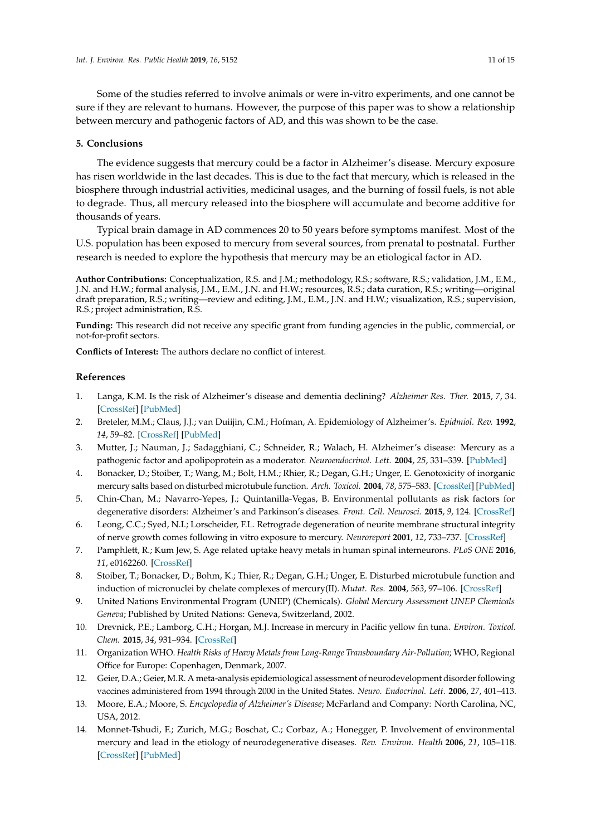Some of the studies referred to involve animals or were in-vitro experiments, and one cannot be sure if they are relevant to humans. However, the purpose of this paper was to show a relationship between mercury and pathogenic factors of AD, and this was shown to be the case.

#### **5. Conclusions**

The evidence suggests that mercury could be a factor in Alzheimer's disease. Mercury exposure has risen worldwide in the last decades. This is due to the fact that mercury, which is released in the biosphere through industrial activities, medicinal usages, and the burning of fossil fuels, is not able to degrade. Thus, all mercury released into the biosphere will accumulate and become additive for thousands of years.

Typical brain damage in AD commences 20 to 50 years before symptoms manifest. Most of the U.S. population has been exposed to mercury from several sources, from prenatal to postnatal. Further research is needed to explore the hypothesis that mercury may be an etiological factor in AD.

**Author Contributions:** Conceptualization, R.S. and J.M.; methodology, R.S.; software, R.S.; validation, J.M., E.M., J.N. and H.W.; formal analysis, J.M., E.M., J.N. and H.W.; resources, R.S.; data curation, R.S.; writing—original draft preparation, R.S.; writing—review and editing, J.M., E.M., J.N. and H.W.; visualization, R.S.; supervision, R.S.; project administration, R.S.

**Funding:** This research did not receive any specific grant from funding agencies in the public, commercial, or not-for-profit sectors.

**Conflicts of Interest:** The authors declare no conflict of interest.

#### **References**

- <span id="page-10-0"></span>1. Langa, K.M. Is the risk of Alzheimer's disease and dementia declining? *Alzheimer Res. Ther.* **2015**, *7*, 34. [\[CrossRef\]](http://dx.doi.org/10.1186/s13195-015-0118-1) [\[PubMed\]](http://www.ncbi.nlm.nih.gov/pubmed/25815064)
- <span id="page-10-1"></span>2. Breteler, M.M.; Claus, J.J.; van Duiijin, C.M.; Hofman, A. Epidemiology of Alzheimer's. *Epidmiol. Rev.* **1992**, *14*, 59–82. [\[CrossRef\]](http://dx.doi.org/10.1093/oxfordjournals.epirev.a036092) [\[PubMed\]](http://www.ncbi.nlm.nih.gov/pubmed/1289117)
- <span id="page-10-2"></span>3. Mutter, J.; Nauman, J.; Sadagghiani, C.; Schneider, R.; Walach, H. Alzheimer's disease: Mercury as a pathogenic factor and apolipoprotein as a moderator. *Neuroendocrinol. Lett.* **2004**, *25*, 331–339. [\[PubMed\]](http://www.ncbi.nlm.nih.gov/pubmed/15580166)
- <span id="page-10-3"></span>4. Bonacker, D.; Stoiber, T.; Wang, M.; Bolt, H.M.; Rhier, R.; Degan, G.H.; Unger, E. Genotoxicity of inorganic mercury salts based on disturbed microtubule function. *Arch. Toxicol.* **2004**, *78*, 575–583. [\[CrossRef\]](http://dx.doi.org/10.1007/s00204-004-0578-8) [\[PubMed\]](http://www.ncbi.nlm.nih.gov/pubmed/15205888)
- 5. Chin-Chan, M.; Navarro-Yepes, J.; Quintanilla-Vegas, B. Environmental pollutants as risk factors for degenerative disorders: Alzheimer's and Parkinson's diseases. *Front. Cell. Neurosci.* **2015**, *9*, 124. [\[CrossRef\]](http://dx.doi.org/10.3389/fncel.2015.00124)
- <span id="page-10-4"></span>6. Leong, C.C.; Syed, N.I.; Lorscheider, F.L. Retrograde degeneration of neurite membrane structural integrity of nerve growth comes following in vitro exposure to mercury. *Neuroreport* **2001**, *12*, 733–737. [\[CrossRef\]](http://dx.doi.org/10.1097/00001756-200103260-00024)
- <span id="page-10-5"></span>7. Pamphlett, R.; Kum Jew, S. Age related uptake heavy metals in human spinal interneurons. *PLoS ONE* **2016**, *11*, e0162260. [\[CrossRef\]](http://dx.doi.org/10.1371/journal.pone.0162260)
- <span id="page-10-6"></span>8. Stoiber, T.; Bonacker, D.; Bohm, K.; Thier, R.; Degan, G.H.; Unger, E. Disturbed microtubule function and induction of micronuclei by chelate complexes of mercury(II). *Mutat. Res.* **2004**, *563*, 97–106. [\[CrossRef\]](http://dx.doi.org/10.1016/j.mrgentox.2004.06.009)
- <span id="page-10-7"></span>9. United Nations Environmental Program (UNEP) (Chemicals). *Global Mercury Assessment UNEP Chemicals Geneva*; Published by United Nations: Geneva, Switzerland, 2002.
- <span id="page-10-8"></span>10. Drevnick, P.E.; Lamborg, C.H.; Horgan, M.J. Increase in mercury in Pacific yellow fin tuna. *Environ. Toxicol. Chem.* **2015**, *34*, 931–934. [\[CrossRef\]](http://dx.doi.org/10.1002/etc.2883)
- <span id="page-10-9"></span>11. Organization WHO. *Health Risks of Heavy Metals from Long-Range Transboundary Air-Pollution*; WHO, Regional Office for Europe: Copenhagen, Denmark, 2007.
- <span id="page-10-10"></span>12. Geier, D.A.; Geier, M.R. A meta-analysis epidemiological assessment of neurodevelopment disorder following vaccines administered from 1994 through 2000 in the United States. *Neuro. Endocrinol. Lett.* **2006**, *27*, 401–413.
- <span id="page-10-11"></span>13. Moore, E.A.; Moore, S. *Encyclopedia of Alzheimer's Disease*; McFarland and Company: North Carolina, NC, USA, 2012.
- <span id="page-10-12"></span>14. Monnet-Tshudi, F.; Zurich, M.G.; Boschat, C.; Corbaz, A.; Honegger, P. Involvement of environmental mercury and lead in the etiology of neurodegenerative diseases. *Rev. Environ. Health* **2006**, *21*, 105–118. [\[CrossRef\]](http://dx.doi.org/10.1515/REVEH.2006.21.2.105) [\[PubMed\]](http://www.ncbi.nlm.nih.gov/pubmed/16898674)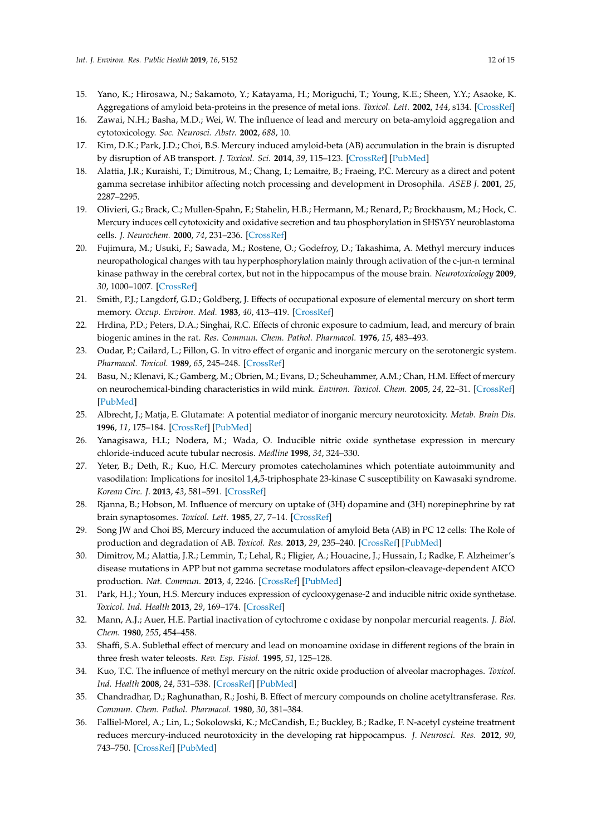- 15. Yano, K.; Hirosawa, N.; Sakamoto, Y.; Katayama, H.; Moriguchi, T.; Young, K.E.; Sheen, Y.Y.; Asaoke, K. Aggregations of amyloid beta-proteins in the presence of metal ions. *Toxicol. Lett.* **2002**, *144*, s134. [\[CrossRef\]](http://dx.doi.org/10.1016/S0378-4274(03)90499-1)
- <span id="page-11-0"></span>16. Zawai, N.H.; Basha, M.D.; Wei, W. The influence of lead and mercury on beta-amyloid aggregation and cytotoxicology. *Soc. Neurosci. Abstr.* **2002**, *688*, 10.
- <span id="page-11-1"></span>17. Kim, D.K.; Park, J.D.; Choi, B.S. Mercury induced amyloid-beta (AB) accumulation in the brain is disrupted by disruption of AB transport. *J. Toxicol. Sci.* **2014**, *39*, 115–123. [\[CrossRef\]](http://dx.doi.org/10.2131/jts.39.625) [\[PubMed\]](http://www.ncbi.nlm.nih.gov/pubmed/25056787)
- <span id="page-11-2"></span>18. Alattia, J.R.; Kuraishi, T.; Dimitrous, M.; Chang, I.; Lemaitre, B.; Fraeing, P.C. Mercury as a direct and potent gamma secretase inhibitor affecting notch processing and development in Drosophila. *ASEB J.* **2001**, *25*, 2287–2295.
- <span id="page-11-3"></span>19. Olivieri, G.; Brack, C.; Mullen-Spahn, F.; Stahelin, H.B.; Hermann, M.; Renard, P.; Brockhausm, M.; Hock, C. Mercury induces cell cytotoxicity and oxidative secretion and tau phosphorylation in SHSY5Y neuroblastoma cells. *J. Neurochem.* **2000**, *74*, 231–236. [\[CrossRef\]](http://dx.doi.org/10.1046/j.1471-4159.2000.0740231.x)
- <span id="page-11-4"></span>20. Fujimura, M.; Usuki, F.; Sawada, M.; Rostene, O.; Godefroy, D.; Takashima, A. Methyl mercury induces neuropathological changes with tau hyperphosphorylation mainly through activation of the c-jun-n terminal kinase pathway in the cerebral cortex, but not in the hippocampus of the mouse brain. *Neurotoxicology* **2009**, *30*, 1000–1007. [\[CrossRef\]](http://dx.doi.org/10.1016/j.neuro.2009.08.001)
- <span id="page-11-5"></span>21. Smith, P.J.; Langdorf, G.D.; Goldberg, J. Effects of occupational exposure of elemental mercury on short term memory. *Occup. Environ. Med.* **1983**, *40*, 413–419. [\[CrossRef\]](http://dx.doi.org/10.1136/oem.40.4.413)
- <span id="page-11-6"></span>22. Hrdina, P.D.; Peters, D.A.; Singhai, R.C. Effects of chronic exposure to cadmium, lead, and mercury of brain biogenic amines in the rat. *Res. Commun. Chem. Pathol. Pharmacol.* **1976**, *15*, 483–493.
- <span id="page-11-7"></span>23. Oudar, P.; Cailard, L.; Fillon, G. In vitro effect of organic and inorganic mercury on the serotonergic system. *Pharmacol. Toxicol.* **1989**, *65*, 245–248. [\[CrossRef\]](http://dx.doi.org/10.1111/j.1600-0773.1989.tb01166.x)
- <span id="page-11-8"></span>24. Basu, N.; Klenavi, K.; Gamberg, M.; Obrien, M.; Evans, D.; Scheuhammer, A.M.; Chan, H.M. Effect of mercury on neurochemical-binding characteristics in wild mink. *Environ. Toxicol. Chem.* **2005**, *24*, 22–31. [\[CrossRef\]](http://dx.doi.org/10.1897/04-048R.1) [\[PubMed\]](http://www.ncbi.nlm.nih.gov/pubmed/16117121)
- <span id="page-11-9"></span>25. Albrecht, J.; Matja, E. Glutamate: A potential mediator of inorganic mercury neurotoxicity. *Metab. Brain Dis.* **1996**, *11*, 175–184. [\[CrossRef\]](http://dx.doi.org/10.1007/BF02069504) [\[PubMed\]](http://www.ncbi.nlm.nih.gov/pubmed/8776719)
- <span id="page-11-10"></span>26. Yanagisawa, H.I.; Nodera, M.; Wada, O. Inducible nitric oxide synthetase expression in mercury chloride-induced acute tubular necrosis. *Medline* **1998**, *34*, 324–330.
- <span id="page-11-11"></span>27. Yeter, B.; Deth, R.; Kuo, H.C. Mercury promotes catecholamines which potentiate autoimmunity and vasodilation: Implications for inositol 1,4,5-triphosphate 23-kinase C susceptibility on Kawasaki syndrome. *Korean Circ. J.* **2013**, *43*, 581–591. [\[CrossRef\]](http://dx.doi.org/10.4070/kcj.2013.43.9.581)
- <span id="page-11-12"></span>28. Rjanna, B.; Hobson, M. Influence of mercury on uptake of (3H) dopamine and (3H) norepinephrine by rat brain synaptosomes. *Toxicol. Lett.* **1985**, *27*, 7–14. [\[CrossRef\]](http://dx.doi.org/10.1016/0378-4274(85)90114-6)
- <span id="page-11-13"></span>29. Song JW and Choi BS, Mercury induced the accumulation of amyloid Beta (AB) in PC 12 cells: The Role of production and degradation of AB. *Toxicol. Res.* **2013**, *29*, 235–240. [\[CrossRef\]](http://dx.doi.org/10.5487/TR.2013.29.4.235) [\[PubMed\]](http://www.ncbi.nlm.nih.gov/pubmed/24578793)
- <span id="page-11-14"></span>30. Dimitrov, M.; Alattia, J.R.; Lemmin, T.; Lehal, R.; Fligier, A.; Houacine, J.; Hussain, I.; Radke, F. Alzheimer's disease mutations in APP but not gamma secretase modulators affect epsilon-cleavage-dependent AICO production. *Nat. Commun.* **2013**, *4*, 2246. [\[CrossRef\]](http://dx.doi.org/10.1038/ncomms3246) [\[PubMed\]](http://www.ncbi.nlm.nih.gov/pubmed/23907250)
- <span id="page-11-15"></span>31. Park, H.J.; Youn, H.S. Mercury induces expression of cyclooxygenase-2 and inducible nitric oxide synthetase. *Toxicol. Ind. Health* **2013**, *29*, 169–174. [\[CrossRef\]](http://dx.doi.org/10.1177/0748233711427048)
- <span id="page-11-16"></span>32. Mann, A.J.; Auer, H.E. Partial inactivation of cytochrome c oxidase by nonpolar mercurial reagents. *J. Biol. Chem.* **1980**, *255*, 454–458.
- <span id="page-11-17"></span>33. Shaffi, S.A. Sublethal effect of mercury and lead on monoamine oxidase in different regions of the brain in three fresh water teleosts. *Rev. Esp. Fisiol.* **1995**, *51*, 125–128.
- <span id="page-11-18"></span>34. Kuo, T.C. The influence of methyl mercury on the nitric oxide production of alveolar macrophages. *Toxicol. Ind. Health* **2008**, *24*, 531–538. [\[CrossRef\]](http://dx.doi.org/10.1177/0748233708098122) [\[PubMed\]](http://www.ncbi.nlm.nih.gov/pubmed/19039081)
- <span id="page-11-19"></span>35. Chandradhar, D.; Raghunathan, R.; Joshi, B. Effect of mercury compounds on choline acetyltransferase. *Res. Commun. Chem. Pathol. Pharmacol.* **1980**, *30*, 381–384.
- <span id="page-11-20"></span>36. Falliel-Morel, A.; Lin, L.; Sokolowski, K.; McCandish, E.; Buckley, B.; Radke, F. N-acetyl cysteine treatment reduces mercury-induced neurotoxicity in the developing rat hippocampus. *J. Neurosci. Res.* **2012**, *90*, 743–750. [\[CrossRef\]](http://dx.doi.org/10.1002/jnr.22819) [\[PubMed\]](http://www.ncbi.nlm.nih.gov/pubmed/22420031)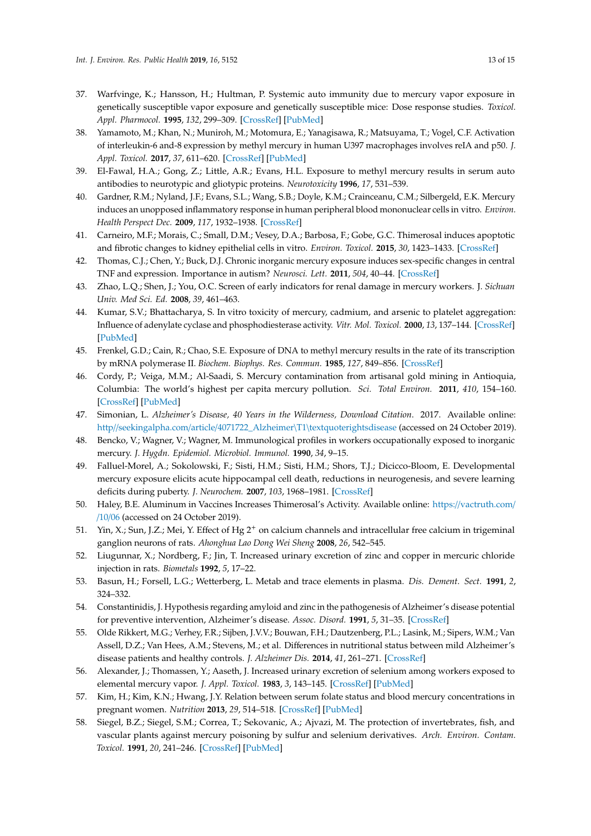- <span id="page-12-0"></span>37. Warfvinge, K.; Hansson, H.; Hultman, P. Systemic auto immunity due to mercury vapor exposure in genetically susceptible vapor exposure and genetically susceptible mice: Dose response studies. *Toxicol. Appl. Pharmocol.* **1995**, *132*, 299–309. [\[CrossRef\]](http://dx.doi.org/10.1006/taap.1995.1111) [\[PubMed\]](http://www.ncbi.nlm.nih.gov/pubmed/7785057)
- <span id="page-12-1"></span>38. Yamamoto, M.; Khan, N.; Muniroh, M.; Motomura, E.; Yanagisawa, R.; Matsuyama, T.; Vogel, C.F. Activation of interleukin-6 and-8 expression by methyl mercury in human U397 macrophages involves reIA and p50. *J. Appl. Toxicol.* **2017**, *37*, 611–620. [\[CrossRef\]](http://dx.doi.org/10.1002/jat.3411) [\[PubMed\]](http://www.ncbi.nlm.nih.gov/pubmed/27917510)
- <span id="page-12-2"></span>39. El-Fawal, H.A.; Gong, Z.; Little, A.R.; Evans, H.L. Exposure to methyl mercury results in serum auto antibodies to neurotypic and gliotypic proteins. *Neurotoxicity* **1996**, *17*, 531–539.
- <span id="page-12-3"></span>40. Gardner, R.M.; Nyland, J.F.; Evans, S.L.; Wang, S.B.; Doyle, K.M.; Crainceanu, C.M.; Silbergeld, E.K. Mercury induces an unopposed inflammatory response in human peripheral blood mononuclear cells in vitro. *Environ. Health Perspect Dec.* **2009**, *117*, 1932–1938. [\[CrossRef\]](http://dx.doi.org/10.1289/ehp.0900855)
- <span id="page-12-4"></span>41. Carneiro, M.F.; Morais, C.; Small, D.M.; Vesey, D.A.; Barbosa, F.; Gobe, G.C. Thimerosal induces apoptotic and fibrotic changes to kidney epithelial cells in vitro. *Environ. Toxicol.* **2015**, *30*, 1423–1433. [\[CrossRef\]](http://dx.doi.org/10.1002/tox.22012)
- <span id="page-12-5"></span>42. Thomas, C.J.; Chen, Y.; Buck, D.J. Chronic inorganic mercury exposure induces sex-specific changes in central TNF and expression. Importance in autism? *Neurosci. Lett.* **2011**, *504*, 40–44. [\[CrossRef\]](http://dx.doi.org/10.1016/j.neulet.2011.08.053)
- <span id="page-12-6"></span>43. Zhao, L.Q.; Shen, J.; You, O.C. Screen of early indicators for renal damage in mercury workers. J. *Sichuan Univ. Med Sci. Ed.* **2008**, *39*, 461–463.
- <span id="page-12-7"></span>44. Kumar, S.V.; Bhattacharya, S. In vitro toxicity of mercury, cadmium, and arsenic to platelet aggregation: Influence of adenylate cyclase and phosphodiesterase activity. *Vitr. Mol. Toxicol.* **2000**, *13*, 137–144. [\[CrossRef\]](http://dx.doi.org/10.1089/109793300440721) [\[PubMed\]](http://www.ncbi.nlm.nih.gov/pubmed/11031324)
- <span id="page-12-8"></span>45. Frenkel, G.D.; Cain, R.; Chao, S.E. Exposure of DNA to methyl mercury results in the rate of its transcription by mRNA polymerase II. *Biochem. Biophys. Res. Commun.* **1985**, *127*, 849–856. [\[CrossRef\]](http://dx.doi.org/10.1016/S0006-291X(85)80021-8)
- <span id="page-12-9"></span>46. Cordy, P.; Veiga, M.M.; Al-Saadi, S. Mercury contamination from artisanal gold mining in Antioquia, Columbia: The world's highest per capita mercury pollution. *Sci. Total Environ.* **2011**, *410*, 154–160. [\[CrossRef\]](http://dx.doi.org/10.1016/j.scitotenv.2011.09.006) [\[PubMed\]](http://www.ncbi.nlm.nih.gov/pubmed/22000915)
- <span id="page-12-10"></span>47. Simonian, L. *Alzheimer's Disease, 40 Years in the Wilderness, Download Citation*. 2017. Available online: http//seekingalpha.com/article/4071722\_Alzheimer\T1\[textquoterightsdisease](http//seekingalpha.com/article/4071722_Alzheimer\T1\textquoteright s disease) (accessed on 24 October 2019).
- <span id="page-12-11"></span>48. Bencko, V.; Wagner, V.; Wagner, M. Immunological profiles in workers occupationally exposed to inorganic mercury. *J. Hygdn. Epidemiol. Microbiol. Immunol.* **1990**, *34*, 9–15.
- <span id="page-12-12"></span>49. Falluel-Morel, A.; Sokolowski, F.; Sisti, H.M.; Sisti, H.M.; Shors, T.J.; Dicicco-Bloom, E. Developmental mercury exposure elicits acute hippocampal cell death, reductions in neurogenesis, and severe learning deficits during puberty. *J. Neurochem.* **2007**, *103*, 1968–1981. [\[CrossRef\]](http://dx.doi.org/10.1111/j.1471-4159.2007.04882.x)
- <span id="page-12-13"></span>50. Haley, B.E. Aluminum in Vaccines Increases Thimerosal's Activity. Available online: https://[vactruth.com](https://vactruth.com//10/06)/ /[10](https://vactruth.com//10/06)/06 (accessed on 24 October 2019).
- <span id="page-12-14"></span>51. Yin, X.; Sun, J.Z.; Mei, Y. Effect of Hg 2<sup>+</sup> on calcium channels and intracellular free calcium in trigeminal ganglion neurons of rats. *Ahonghua Lao Dong Wei Sheng* **2008**, *26*, 542–545.
- <span id="page-12-15"></span>52. Liugunnar, X.; Nordberg, F.; Jin, T. Increased urinary excretion of zinc and copper in mercuric chloride injection in rats. *Biometals* **1992**, *5*, 17–22.
- <span id="page-12-16"></span>53. Basun, H.; Forsell, L.G.; Wetterberg, L. Metab and trace elements in plasma. *Dis. Dement. Sect.* **1991**, *2*, 324–332.
- <span id="page-12-17"></span>54. Constantinidis, J. Hypothesis regarding amyloid and zinc in the pathogenesis of Alzheimer's disease potential for preventive intervention, Alzheimer's disease. *Assoc. Disord.* **1991**, *5*, 31–35. [\[CrossRef\]](http://dx.doi.org/10.1097/00002093-199100510-00004)
- <span id="page-12-18"></span>55. Olde Rikkert, M.G.; Verhey, F.R.; Sijben, J.V.V.; Bouwan, F.H.; Dautzenberg, P.L.; Lasink, M.; Sipers, W.M.; Van Assell, D.Z.; Van Hees, A.M.; Stevens, M.; et al. Differences in nutritional status between mild Alzheimer's disease patients and healthy controls. *J. Alzheimer Dis.* **2014**, *41*, 261–271. [\[CrossRef\]](http://dx.doi.org/10.3233/JAD-131892)
- <span id="page-12-19"></span>56. Alexander, J.; Thomassen, Y.; Aaseth, J. Increased urinary excretion of selenium among workers exposed to elemental mercury vapor. *J. Appl. Toxicol.* **1983**, *3*, 143–145. [\[CrossRef\]](http://dx.doi.org/10.1002/jat.2550030308) [\[PubMed\]](http://www.ncbi.nlm.nih.gov/pubmed/6619500)
- <span id="page-12-20"></span>57. Kim, H.; Kim, K.N.; Hwang, J.Y. Relation between serum folate status and blood mercury concentrations in pregnant women. *Nutrition* **2013**, *29*, 514–518. [\[CrossRef\]](http://dx.doi.org/10.1016/j.nut.2012.08.012) [\[PubMed\]](http://www.ncbi.nlm.nih.gov/pubmed/23274092)
- <span id="page-12-21"></span>58. Siegel, B.Z.; Siegel, S.M.; Correa, T.; Sekovanic, A.; Ajvazi, M. The protection of invertebrates, fish, and vascular plants against mercury poisoning by sulfur and selenium derivatives. *Arch. Environ. Contam. Toxicol.* **1991**, *20*, 241–246. [\[CrossRef\]](http://dx.doi.org/10.1007/BF01055910) [\[PubMed\]](http://www.ncbi.nlm.nih.gov/pubmed/2014999)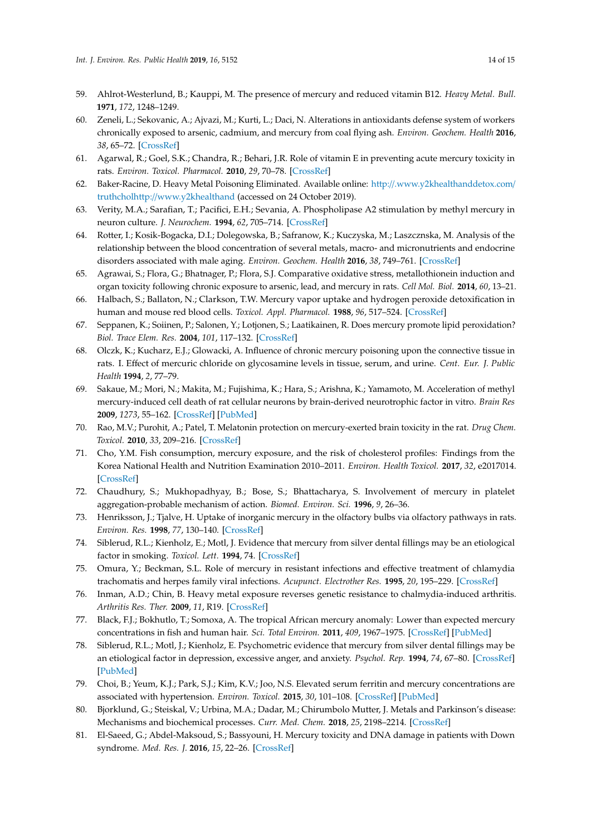- <span id="page-13-0"></span>59. Ahlrot-Westerlund, B.; Kauppi, M. The presence of mercury and reduced vitamin B12. *Heavy Metal. Bull.* **1971**, *172*, 1248–1249.
- <span id="page-13-1"></span>60. Zeneli, L.; Sekovanic, A.; Ajvazi, M.; Kurti, L.; Daci, N. Alterations in antioxidants defense system of workers chronically exposed to arsenic, cadmium, and mercury from coal flying ash. *Environ. Geochem. Health* **2016**, *38*, 65–72. [\[CrossRef\]](http://dx.doi.org/10.1007/s10653-015-9683-2)
- <span id="page-13-2"></span>61. Agarwal, R.; Goel, S.K.; Chandra, R.; Behari, J.R. Role of vitamin E in preventing acute mercury toxicity in rats. *Environ. Toxicol. Pharmacol.* **2010**, *29*, 70–78. [\[CrossRef\]](http://dx.doi.org/10.1016/j.etap.2009.10.003)
- <span id="page-13-3"></span>62. Baker-Racine, D. Heavy Metal Poisoning Eliminated. Available online: http://[.www.y2khealthanddetox.com](http: //.www.y2khealthanddetox.com/truthchol http:// www.y2khealthand)/ truthcholhttp://[www.y2khealthand](http: //.www.y2khealthanddetox.com/truthchol http:// www.y2khealthand) (accessed on 24 October 2019).
- <span id="page-13-4"></span>63. Verity, M.A.; Sarafian, T.; Pacifici, E.H.; Sevania, A. Phospholipase A2 stimulation by methyl mercury in neuron culture. *J. Neurochem.* **1994**, *62*, 705–714. [\[CrossRef\]](http://dx.doi.org/10.1046/j.1471-4159.1994.62020705.x)
- <span id="page-13-5"></span>64. Rotter, I.; Kosik-Bogacka, D.I.; Dolegowska, B.; Safranow, K.; Kuczyska, M.; Laszcznska, M. Analysis of the relationship between the blood concentration of several metals, macro- and micronutrients and endocrine disorders associated with male aging. *Environ. Geochem. Health* **2016**, *38*, 749–761. [\[CrossRef\]](http://dx.doi.org/10.1007/s10653-015-9758-0)
- <span id="page-13-6"></span>65. Agrawai, S.; Flora, G.; Bhatnager, P.; Flora, S.J. Comparative oxidative stress, metallothionein induction and organ toxicity following chronic exposure to arsenic, lead, and mercury in rats. *Cell Mol. Biol.* **2014**, *60*, 13–21.
- <span id="page-13-7"></span>66. Halbach, S.; Ballaton, N.; Clarkson, T.W. Mercury vapor uptake and hydrogen peroxide detoxification in human and mouse red blood cells. *Toxicol. Appl. Pharmacol.* **1988**, *96*, 517–524. [\[CrossRef\]](http://dx.doi.org/10.1016/0041-008X(88)90011-7)
- <span id="page-13-8"></span>67. Seppanen, K.; Soiinen, P.; Salonen, Y.; Lotjonen, S.; Laatikainen, R. Does mercury promote lipid peroxidation? *Biol. Trace Elem. Res.* **2004**, *101*, 117–132. [\[CrossRef\]](http://dx.doi.org/10.1385/BTER:101:2:117)
- <span id="page-13-9"></span>68. Olczk, K.; Kucharz, E.J.; Glowacki, A. Influence of chronic mercury poisoning upon the connective tissue in rats. I. Effect of mercuric chloride on glycosamine levels in tissue, serum, and urine. *Cent. Eur. J. Public Health* **1994**, *2*, 77–79.
- <span id="page-13-10"></span>69. Sakaue, M.; Mori, N.; Makita, M.; Fujishima, K.; Hara, S.; Arishna, K.; Yamamoto, M. Acceleration of methyl mercury-induced cell death of rat cellular neurons by brain-derived neurotrophic factor in vitro. *Brain Res* **2009**, *1273*, 55–162. [\[CrossRef\]](http://dx.doi.org/10.1016/j.brainres.2009.03.035) [\[PubMed\]](http://www.ncbi.nlm.nih.gov/pubmed/19332029)
- <span id="page-13-11"></span>70. Rao, M.V.; Purohit, A.; Patel, T. Melatonin protection on mercury-exerted brain toxicity in the rat. *Drug Chem. Toxicol.* **2010**, *33*, 209–216. [\[CrossRef\]](http://dx.doi.org/10.3109/01480540903349258)
- <span id="page-13-12"></span>71. Cho, Y.M. Fish consumption, mercury exposure, and the risk of cholesterol profiles: Findings from the Korea National Health and Nutrition Examination 2010–2011. *Environ. Health Toxicol.* **2017**, *32*, e2017014. [\[CrossRef\]](http://dx.doi.org/10.5620/eht.e2017014)
- <span id="page-13-13"></span>72. Chaudhury, S.; Mukhopadhyay, B.; Bose, S.; Bhattacharya, S. Involvement of mercury in platelet aggregation-probable mechanism of action. *Biomed. Environ. Sci.* **1996**, *9*, 26–36.
- <span id="page-13-14"></span>73. Henriksson, J.; Tjalve, H. Uptake of inorganic mercury in the olfactory bulbs via olfactory pathways in rats. *Environ. Res.* **1998**, *77*, 130–140. [\[CrossRef\]](http://dx.doi.org/10.1006/enrs.1997.3817)
- <span id="page-13-15"></span>74. Siblerud, R.L.; Kienholz, E.; Motl, J. Evidence that mercury from silver dental fillings may be an etiological factor in smoking. *Toxicol. Lett.* **1994**, 74. [\[CrossRef\]](http://dx.doi.org/10.1016/0378-4274(93)90022-P)
- <span id="page-13-16"></span>75. Omura, Y.; Beckman, S.L. Role of mercury in resistant infections and effective treatment of chlamydia trachomatis and herpes family viral infections. *Acupunct. Electrother Res.* **1995**, *20*, 195–229. [\[CrossRef\]](http://dx.doi.org/10.3727/036012995816357014)
- <span id="page-13-17"></span>76. Inman, A.D.; Chin, B. Heavy metal exposure reverses genetic resistance to chalmydia-induced arthritis. *Arthritis Res. Ther.* **2009**, *11*, R19. [\[CrossRef\]](http://dx.doi.org/10.1186/ar2610)
- <span id="page-13-18"></span>77. Black, F.J.; Bokhutlo, T.; Somoxa, A. The tropical African mercury anomaly: Lower than expected mercury concentrations in fish and human hair. *Sci. Total Environ.* **2011**, *409*, 1967–1975. [\[CrossRef\]](http://dx.doi.org/10.1016/j.scitotenv.2010.11.027) [\[PubMed\]](http://www.ncbi.nlm.nih.gov/pubmed/21342703)
- <span id="page-13-19"></span>78. Siblerud, R.L.; Motl, J.; Kienholz, E. Psychometric evidence that mercury from silver dental fillings may be an etiological factor in depression, excessive anger, and anxiety. *Psychol. Rep.* **1994**, *74*, 67–80. [\[CrossRef\]](http://dx.doi.org/10.2466/pr0.1994.74.1.67) [\[PubMed\]](http://www.ncbi.nlm.nih.gov/pubmed/8153237)
- <span id="page-13-20"></span>79. Choi, B.; Yeum, K.J.; Park, S.J.; Kim, K.V.; Joo, N.S. Elevated serum ferritin and mercury concentrations are associated with hypertension. *Environ. Toxicol.* **2015**, *30*, 101–108. [\[CrossRef\]](http://dx.doi.org/10.1002/tox.21899) [\[PubMed\]](http://www.ncbi.nlm.nih.gov/pubmed/23929718)
- <span id="page-13-21"></span>80. Bjorklund, G.; Steiskal, V.; Urbina, M.A.; Dadar, M.; Chirumbolo Mutter, J. Metals and Parkinson's disease: Mechanisms and biochemical processes. *Curr. Med. Chem.* **2018**, *25*, 2198–2214. [\[CrossRef\]](http://dx.doi.org/10.2174/0929867325666171129124616)
- <span id="page-13-22"></span>81. El-Saeed, G.; Abdel-Maksoud, S.; Bassyouni, H. Mercury toxicity and DNA damage in patients with Down syndrome. *Med. Res. J.* **2016**, *15*, 22–26. [\[CrossRef\]](http://dx.doi.org/10.1097/01.MJX.0000483973.37399.e7)